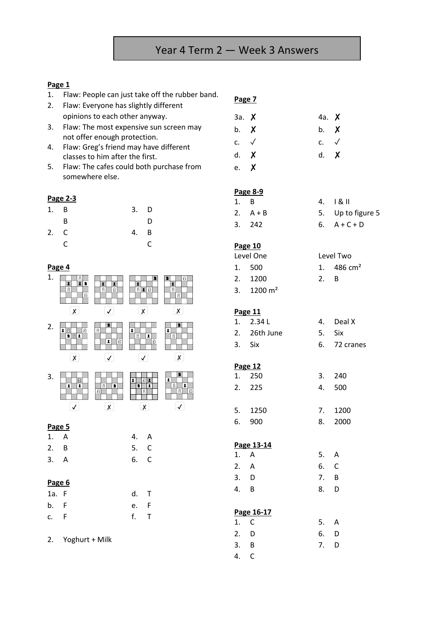## **Page 1**

|     | <u>. asc +</u>                      |                                                                         |                         |              |                                                 |        |                      |
|-----|-------------------------------------|-------------------------------------------------------------------------|-------------------------|--------------|-------------------------------------------------|--------|----------------------|
| 1.  |                                     |                                                                         |                         |              | Flaw: People can just take off the rubber band. | Page 7 |                      |
| 2.  |                                     | Flaw: Everyone has slightly different<br>opinions to each other anyway. |                         |              |                                                 |        |                      |
| 3.  |                                     |                                                                         |                         |              | Flaw: The most expensive sun screen may         | За.    | X                    |
|     |                                     | not offer enough protection.                                            |                         |              |                                                 | b.     | X                    |
| 4.  |                                     | Flaw: Greg's friend may have different                                  |                         |              |                                                 | c.     | $\checkmark$         |
|     |                                     | classes to him after the first.                                         |                         |              |                                                 | d.     | X                    |
| 5.  |                                     | somewhere else.                                                         |                         |              | Flaw: The cafes could both purchase from        | e.     | X                    |
|     |                                     |                                                                         |                         |              |                                                 |        | Page 8-9             |
|     | Page 2-3                            |                                                                         |                         |              |                                                 | 1.     | B                    |
| 1.  | В                                   |                                                                         | 3.                      | D            |                                                 | 2.     | $A + B$              |
|     | B                                   |                                                                         |                         | D            |                                                 | 3.     | 242                  |
| 2.  | $\mathsf{C}$                        |                                                                         | 4.                      | B            |                                                 |        |                      |
|     | C                                   |                                                                         |                         | $\mathsf{C}$ |                                                 |        | Page 10<br>Level One |
|     | Page 4                              |                                                                         |                         |              |                                                 | 1.     | 500                  |
| 1.  | 8<br>22<br>$\pmb{z}$                | $\pmb{1}$<br>$\pmb{z}$                                                  | $\pmb{1}$               |              | Ω<br>2                                          | 2.     | 1200                 |
|     | $\overline{2}$<br>Đ                 | $\overline{\mathbf{z}}$<br>Ð                                            |                         | 822          | $\overline{8}$<br>8                             | 3.     | 1200 $m2$            |
|     | $\mathsf{X}$                        | $\checkmark$                                                            |                         | X            | χ                                               |        | Page 11              |
| 2.  |                                     | 2                                                                       | $\overline{\mathbf{r}}$ |              | 2                                               | 1.     | 2.34L                |
|     | $\mathbf{2} \mathbf{2}$<br>Ð<br>282 | $\overline{\mathbf{2}}$<br>1<br>Ø                                       | 8                       | 1<br>Ð       | 1<br>$\Omega$                                   | 2.     | 26th June            |
|     | $\boldsymbol{x}$                    | $\checkmark$                                                            |                         | $\checkmark$ | X                                               | 3.     | Six                  |
|     |                                     |                                                                         |                         |              |                                                 |        | Page 12              |
| 3.  | $\mathfrak{D}$                      |                                                                         | 1                       | ଥା ଅ         | 2<br>1                                          | 1.     | 250                  |
|     | 2<br>1                              | 8<br>2<br>Ð                                                             | 2                       | 1<br>8       | 8<br>1<br>$\mathbf{\Omega}$<br>Đ                | 2.     | 225                  |
|     | $\checkmark$                        | X                                                                       |                         | X            | √                                               | 5.     | 1250                 |
|     | Page 5                              |                                                                         |                         |              |                                                 | 6.     | 900                  |
| 1.  | A                                   |                                                                         | 4.                      | A            |                                                 |        |                      |
| 2.  | В                                   |                                                                         | 5.                      | C            |                                                 |        | Page 13-14           |
| 3.  | A                                   |                                                                         | 6.                      | $\mathsf C$  |                                                 | 1.     | Α                    |
|     |                                     |                                                                         |                         |              |                                                 | 2.     | Α                    |
|     | Page 6                              |                                                                         |                         |              |                                                 | 3.     | D                    |
| 1a. | - F                                 |                                                                         | d.                      | Τ            |                                                 | 4.     | В                    |
| b.  | F                                   |                                                                         | e.                      | F            |                                                 |        |                      |
| c.  | F                                   |                                                                         | f.                      | T            |                                                 |        | Page 16-17           |
|     |                                     |                                                                         |                         |              |                                                 | 1.     | C                    |
| 2.  | Yoghurt + Milk                      |                                                                         |                         |              |                                                 | 2.     | D<br>D               |
|     |                                     |                                                                         |                         |              |                                                 |        |                      |

|                                       | 4a. X         |
|---------------------------------------|---------------|
|                                       | b. X          |
|                                       | c. $\sqrt{ }$ |
|                                       | d. X          |
|                                       |               |
| 3a. X<br>b. X<br>c. √<br>d. X<br>e. X |               |

| ь     |  |
|-------|--|
| A + B |  |
| າ າາ  |  |

 $4.$   $18$  II 5. Up to figure 5 6.  $A + C + D$ 

| Level One              |      | Level Two    |
|------------------------|------|--------------|
| 1. 500                 |      | 1. 486 $cm2$ |
| 2. 1200                | 2. B |              |
| 3. 1200 m <sup>2</sup> |      |              |

| 1. $2.34L$   | 4. Deal X    |
|--------------|--------------|
| 2. 26th June | 5. Six       |
| 3. Six       | 6. 72 cranes |

| 1. 250  | 3.240   |
|---------|---------|
| 2. 225  | 4. 500  |
|         |         |
| 5. 1250 | 7. 1200 |

| 6. 900 | 8. 2000 |
|--------|---------|
|        |         |

| 1. A |   | 5. A |  |
|------|---|------|--|
| 2. A |   | 6. C |  |
| 3. D |   | 7. B |  |
| 4.   | B | 8. D |  |
|      |   |      |  |

| 1. C |  | 5. A |  |
|------|--|------|--|
| 2. D |  | 6. D |  |
| 3. B |  | 7. D |  |
| 4. C |  |      |  |